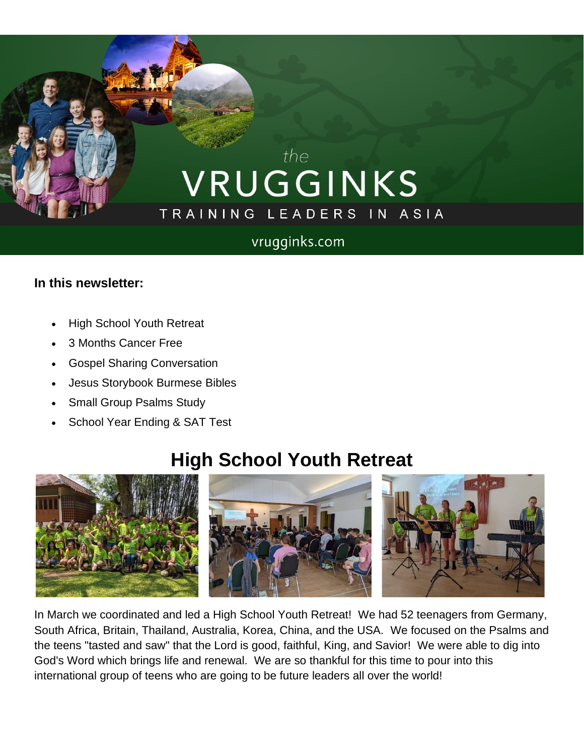# the VRUGGINKS TRAINING LEADERS IN ASIA

#### vrugginks.com

#### **In this newsletter:**

- High School Youth Retreat
- 3 Months Cancer Free
- Gospel Sharing Conversation
- Jesus Storybook Burmese Bibles
- Small Group Psalms Study
- School Year Ending & SAT Test

## **High School Youth Retreat**



In March we coordinated and led a High School Youth Retreat! We had 52 teenagers from Germany, South Africa, Britain, Thailand, Australia, Korea, China, and the USA. We focused on the Psalms and the teens "tasted and saw" that the Lord is good, faithful, King, and Savior! We were able to dig into God's Word which brings life and renewal. We are so thankful for this time to pour into this international group of teens who are going to be future leaders all over the world!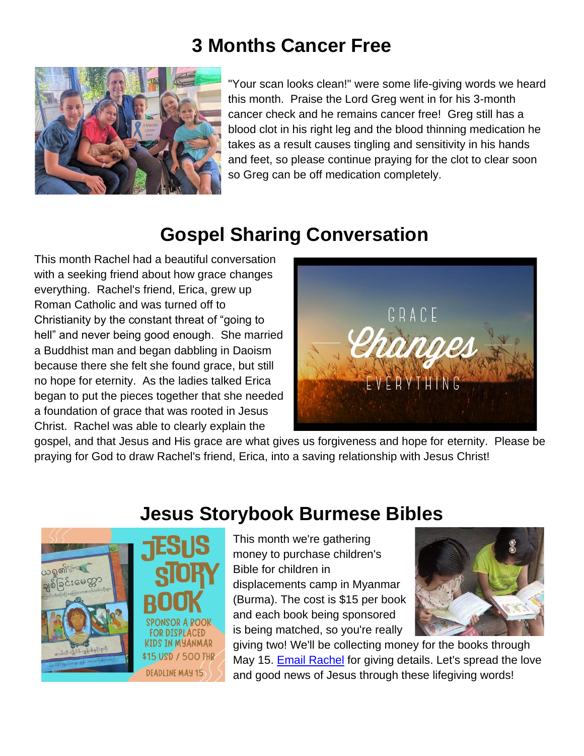## **3 Months Cancer Free**



"Your scan looks clean!" were some life-giving words we heard this month. Praise the Lord Greg went in for his 3-month cancer check and he remains cancer free! Greg still has a blood clot in his right leg and the blood thinning medication he takes as a result causes tingling and sensitivity in his hands and feet, so please continue praying for the clot to clear soon so Greg can be off medication completely.

# **Gospel Sharing Conversation**

This month Rachel had a beautiful conversation with a seeking friend about how grace changes everything. Rachel's friend, Erica, grew up Roman Catholic and was turned off to Christianity by the constant threat of "going to hell" and never being good enough. She married a Buddhist man and began dabbling in Daoism because there she felt she found grace, but still no hope for eternity. As the ladies talked Erica began to put the pieces together that she needed a foundation of grace that was rooted in Jesus Christ. Rachel was able to clearly explain the



gospel, and that Jesus and His grace are what gives us forgiveness and hope for eternity. Please be praying for God to draw Rachel's friend, Erica, into a saving relationship with Jesus Christ!



## **Jesus Storybook Burmese Bibles**

This month we're gathering money to purchase children's Bible for children in displacements camp in Myanmar (Burma). The cost is \$15 per book and each book being sponsored is being matched, so you're really



giving two! We'll be collecting money for the books through May 15. [Email Rachel](mailto:rachelvruggink@gmail.com?subject=Jesus%20Storybook%20Bibles%20Giving%20Details) for giving details. Let's spread the love and good news of Jesus through these lifegiving words!